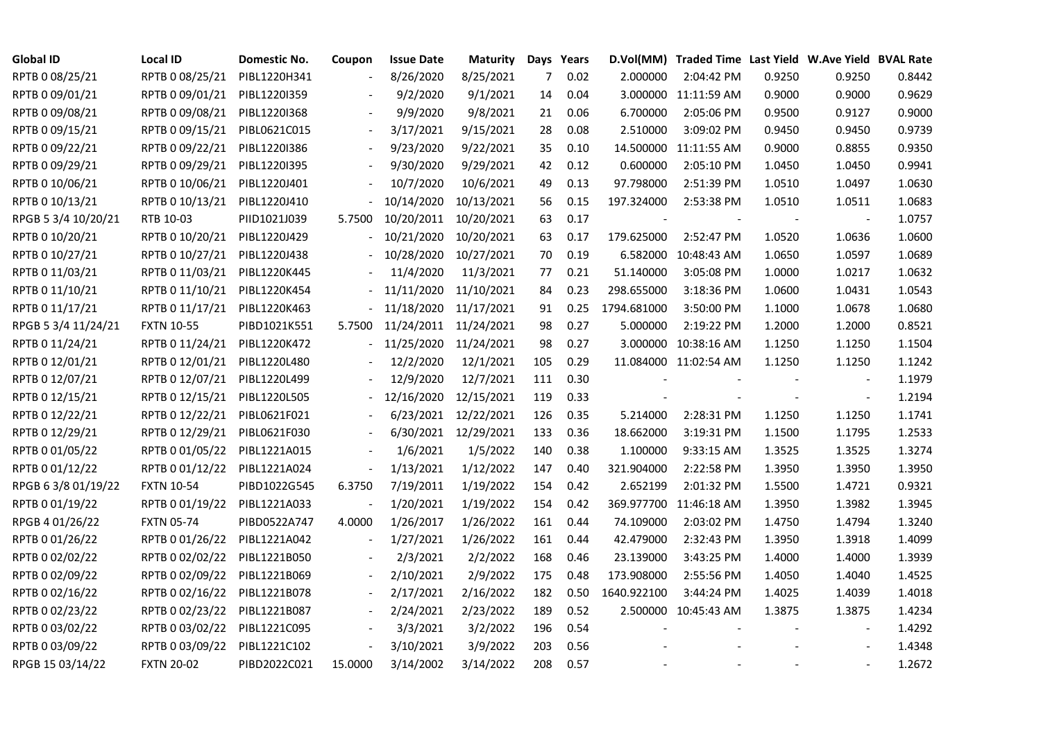| <b>Global ID</b>    | <b>Local ID</b>   | Domestic No. | Coupon                   | <b>Issue Date</b>     | <b>Maturity</b>      |     | Days Years |             | D.Vol(MM) Traded Time Last Yield W.Ave Yield BVAL Rate |        |                          |        |
|---------------------|-------------------|--------------|--------------------------|-----------------------|----------------------|-----|------------|-------------|--------------------------------------------------------|--------|--------------------------|--------|
| RPTB 0 08/25/21     | RPTB 0 08/25/21   | PIBL1220H341 |                          | 8/26/2020             | 8/25/2021            | 7   | 0.02       | 2.000000    | 2:04:42 PM                                             | 0.9250 | 0.9250                   | 0.8442 |
| RPTB 0 09/01/21     | RPTB 0 09/01/21   | PIBL1220I359 |                          | 9/2/2020              | 9/1/2021             | 14  | 0.04       |             | 3.000000 11:11:59 AM                                   | 0.9000 | 0.9000                   | 0.9629 |
| RPTB 0 09/08/21     | RPTB 0 09/08/21   | PIBL1220I368 |                          | 9/9/2020              | 9/8/2021             | 21  | 0.06       | 6.700000    | 2:05:06 PM                                             | 0.9500 | 0.9127                   | 0.9000 |
| RPTB 0 09/15/21     | RPTB 0 09/15/21   | PIBL0621C015 | $\blacksquare$           | 3/17/2021             | 9/15/2021            | 28  | 0.08       | 2.510000    | 3:09:02 PM                                             | 0.9450 | 0.9450                   | 0.9739 |
| RPTB 0 09/22/21     | RPTB 0 09/22/21   | PIBL1220I386 | $\frac{1}{2}$            | 9/23/2020             | 9/22/2021            | 35  | 0.10       |             | 14.500000 11:11:55 AM                                  | 0.9000 | 0.8855                   | 0.9350 |
| RPTB 0 09/29/21     | RPTB 0 09/29/21   | PIBL12201395 |                          | 9/30/2020             | 9/29/2021            | 42  | 0.12       | 0.600000    | 2:05:10 PM                                             | 1.0450 | 1.0450                   | 0.9941 |
| RPTB 0 10/06/21     | RPTB 0 10/06/21   | PIBL1220J401 |                          | 10/7/2020             | 10/6/2021            | 49  | 0.13       | 97.798000   | 2:51:39 PM                                             | 1.0510 | 1.0497                   | 1.0630 |
| RPTB 0 10/13/21     | RPTB 0 10/13/21   | PIBL1220J410 |                          | 10/14/2020            | 10/13/2021           | 56  | 0.15       | 197.324000  | 2:53:38 PM                                             | 1.0510 | 1.0511                   | 1.0683 |
| RPGB 5 3/4 10/20/21 | RTB 10-03         | PIID1021J039 | 5.7500                   | 10/20/2011            | 10/20/2021           | 63  | 0.17       |             |                                                        |        |                          | 1.0757 |
| RPTB 0 10/20/21     | RPTB 0 10/20/21   | PIBL1220J429 |                          | 10/21/2020            | 10/20/2021           | 63  | 0.17       | 179.625000  | 2:52:47 PM                                             | 1.0520 | 1.0636                   | 1.0600 |
| RPTB 0 10/27/21     | RPTB 0 10/27/21   | PIBL1220J438 |                          | 10/28/2020            | 10/27/2021           | 70  | 0.19       | 6.582000    | 10:48:43 AM                                            | 1.0650 | 1.0597                   | 1.0689 |
| RPTB 0 11/03/21     | RPTB 0 11/03/21   | PIBL1220K445 |                          | 11/4/2020             | 11/3/2021            | 77  | 0.21       | 51.140000   | 3:05:08 PM                                             | 1.0000 | 1.0217                   | 1.0632 |
| RPTB 0 11/10/21     | RPTB 0 11/10/21   | PIBL1220K454 |                          | 11/11/2020            | 11/10/2021           | 84  | 0.23       | 298.655000  | 3:18:36 PM                                             | 1.0600 | 1.0431                   | 1.0543 |
| RPTB 0 11/17/21     | RPTB 0 11/17/21   | PIBL1220K463 |                          | 11/18/2020            | 11/17/2021           | 91  | 0.25       | 1794.681000 | 3:50:00 PM                                             | 1.1000 | 1.0678                   | 1.0680 |
| RPGB 5 3/4 11/24/21 | <b>FXTN 10-55</b> | PIBD1021K551 | 5.7500                   | 11/24/2011 11/24/2021 |                      | 98  | 0.27       | 5.000000    | 2:19:22 PM                                             | 1.2000 | 1.2000                   | 0.8521 |
| RPTB 0 11/24/21     | RPTB 0 11/24/21   | PIBL1220K472 |                          | 11/25/2020            | 11/24/2021           | 98  | 0.27       |             | 3.000000 10:38:16 AM                                   | 1.1250 | 1.1250                   | 1.1504 |
| RPTB 0 12/01/21     | RPTB 0 12/01/21   | PIBL1220L480 |                          | 12/2/2020             | 12/1/2021            | 105 | 0.29       |             | 11.084000 11:02:54 AM                                  | 1.1250 | 1.1250                   | 1.1242 |
| RPTB 0 12/07/21     | RPTB 0 12/07/21   | PIBL1220L499 |                          | 12/9/2020             | 12/7/2021            | 111 | 0.30       |             |                                                        |        |                          | 1.1979 |
| RPTB 0 12/15/21     | RPTB 0 12/15/21   | PIBL1220L505 |                          | 12/16/2020            | 12/15/2021           | 119 | 0.33       |             |                                                        |        | $\overline{\phantom{a}}$ | 1.2194 |
| RPTB 0 12/22/21     | RPTB 0 12/22/21   | PIBL0621F021 |                          |                       | 6/23/2021 12/22/2021 | 126 | 0.35       | 5.214000    | 2:28:31 PM                                             | 1.1250 | 1.1250                   | 1.1741 |
| RPTB 0 12/29/21     | RPTB 0 12/29/21   | PIBL0621F030 |                          |                       | 6/30/2021 12/29/2021 | 133 | 0.36       | 18.662000   | 3:19:31 PM                                             | 1.1500 | 1.1795                   | 1.2533 |
| RPTB 0 01/05/22     | RPTB 0 01/05/22   | PIBL1221A015 |                          | 1/6/2021              | 1/5/2022             | 140 | 0.38       | 1.100000    | 9:33:15 AM                                             | 1.3525 | 1.3525                   | 1.3274 |
| RPTB 0 01/12/22     | RPTB 0 01/12/22   | PIBL1221A024 |                          | 1/13/2021             | 1/12/2022            | 147 | 0.40       | 321.904000  | 2:22:58 PM                                             | 1.3950 | 1.3950                   | 1.3950 |
| RPGB 63/8 01/19/22  | <b>FXTN 10-54</b> | PIBD1022G545 | 6.3750                   | 7/19/2011             | 1/19/2022            | 154 | 0.42       | 2.652199    | 2:01:32 PM                                             | 1.5500 | 1.4721                   | 0.9321 |
| RPTB 0 01/19/22     | RPTB 0 01/19/22   | PIBL1221A033 |                          | 1/20/2021             | 1/19/2022            | 154 | 0.42       |             | 369.977700 11:46:18 AM                                 | 1.3950 | 1.3982                   | 1.3945 |
| RPGB 4 01/26/22     | <b>FXTN 05-74</b> | PIBD0522A747 | 4.0000                   | 1/26/2017             | 1/26/2022            | 161 | 0.44       | 74.109000   | 2:03:02 PM                                             | 1.4750 | 1.4794                   | 1.3240 |
| RPTB 0 01/26/22     | RPTB 0 01/26/22   | PIBL1221A042 | $\overline{\phantom{a}}$ | 1/27/2021             | 1/26/2022            | 161 | 0.44       | 42.479000   | 2:32:43 PM                                             | 1.3950 | 1.3918                   | 1.4099 |
| RPTB 0 02/02/22     | RPTB 0 02/02/22   | PIBL1221B050 |                          | 2/3/2021              | 2/2/2022             | 168 | 0.46       | 23.139000   | 3:43:25 PM                                             | 1.4000 | 1.4000                   | 1.3939 |
| RPTB 0 02/09/22     | RPTB 0 02/09/22   | PIBL1221B069 |                          | 2/10/2021             | 2/9/2022             | 175 | 0.48       | 173.908000  | 2:55:56 PM                                             | 1.4050 | 1.4040                   | 1.4525 |
| RPTB 0 02/16/22     | RPTB 0 02/16/22   | PIBL1221B078 |                          | 2/17/2021             | 2/16/2022            | 182 | 0.50       | 1640.922100 | 3:44:24 PM                                             | 1.4025 | 1.4039                   | 1.4018 |
| RPTB 0 02/23/22     | RPTB 0 02/23/22   | PIBL1221B087 |                          | 2/24/2021             | 2/23/2022            | 189 | 0.52       |             | 2.500000 10:45:43 AM                                   | 1.3875 | 1.3875                   | 1.4234 |
| RPTB 0 03/02/22     | RPTB 0 03/02/22   | PIBL1221C095 | $\overline{\phantom{a}}$ | 3/3/2021              | 3/2/2022             | 196 | 0.54       |             |                                                        |        | $\overline{\phantom{a}}$ | 1.4292 |
| RPTB 0 03/09/22     | RPTB 0 03/09/22   | PIBL1221C102 | $\blacksquare$           | 3/10/2021             | 3/9/2022             | 203 | 0.56       |             |                                                        |        |                          | 1.4348 |
| RPGB 15 03/14/22    | <b>FXTN 20-02</b> | PIBD2022C021 | 15.0000                  | 3/14/2002             | 3/14/2022            | 208 | 0.57       |             |                                                        |        |                          | 1.2672 |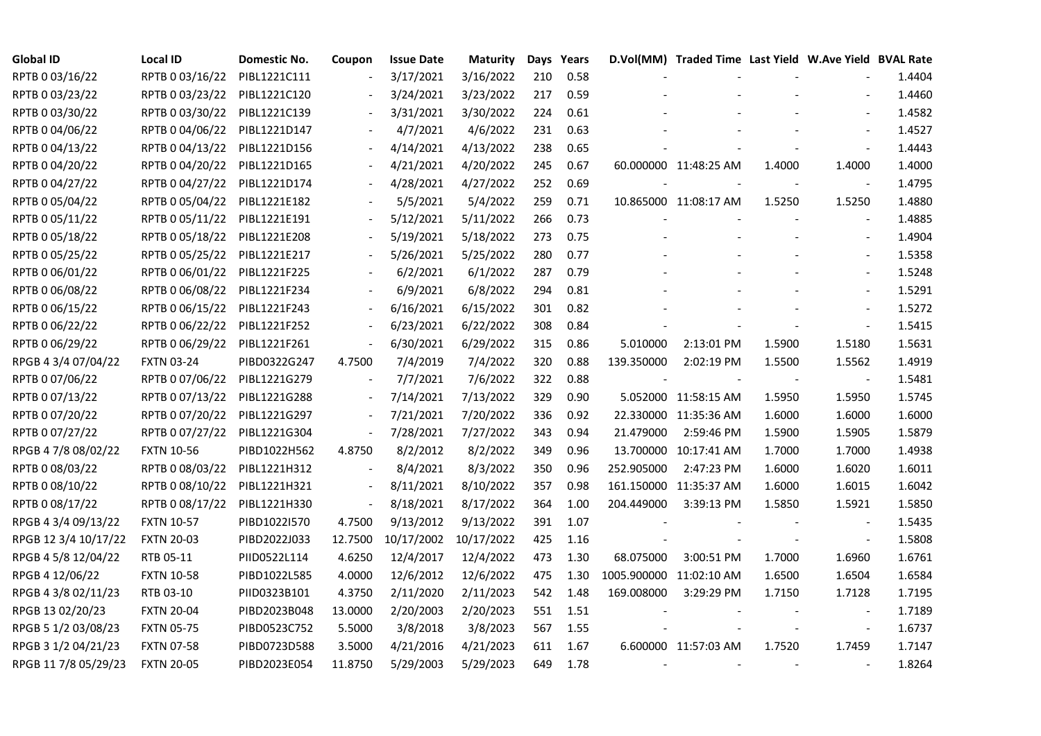| <b>Global ID</b>     | <b>Local ID</b>   | Domestic No. | Coupon                   | <b>Issue Date</b> | Maturity   |     | Days Years |            | D.Vol(MM) Traded Time Last Yield W.Ave Yield BVAL Rate |        |                          |        |
|----------------------|-------------------|--------------|--------------------------|-------------------|------------|-----|------------|------------|--------------------------------------------------------|--------|--------------------------|--------|
| RPTB 0 03/16/22      | RPTB 0 03/16/22   | PIBL1221C111 | $\overline{\phantom{a}}$ | 3/17/2021         | 3/16/2022  | 210 | 0.58       |            |                                                        |        |                          | 1.4404 |
| RPTB 0 03/23/22      | RPTB 0 03/23/22   | PIBL1221C120 |                          | 3/24/2021         | 3/23/2022  | 217 | 0.59       |            |                                                        |        |                          | 1.4460 |
| RPTB 0 03/30/22      | RPTB 0 03/30/22   | PIBL1221C139 |                          | 3/31/2021         | 3/30/2022  | 224 | 0.61       |            |                                                        |        | $\overline{\phantom{a}}$ | 1.4582 |
| RPTB 0 04/06/22      | RPTB 0 04/06/22   | PIBL1221D147 | $\overline{\phantom{a}}$ | 4/7/2021          | 4/6/2022   | 231 | 0.63       |            |                                                        |        | $\blacksquare$           | 1.4527 |
| RPTB 0 04/13/22      | RPTB 0 04/13/22   | PIBL1221D156 | $\overline{\phantom{a}}$ | 4/14/2021         | 4/13/2022  | 238 | 0.65       |            |                                                        |        | $\blacksquare$           | 1.4443 |
| RPTB 0 04/20/22      | RPTB 0 04/20/22   | PIBL1221D165 |                          | 4/21/2021         | 4/20/2022  | 245 | 0.67       |            | 60.000000 11:48:25 AM                                  | 1.4000 | 1.4000                   | 1.4000 |
| RPTB 0 04/27/22      | RPTB 0 04/27/22   | PIBL1221D174 |                          | 4/28/2021         | 4/27/2022  | 252 | 0.69       |            |                                                        |        |                          | 1.4795 |
| RPTB 0 05/04/22      | RPTB 0 05/04/22   | PIBL1221E182 |                          | 5/5/2021          | 5/4/2022   | 259 | 0.71       |            | 10.865000 11:08:17 AM                                  | 1.5250 | 1.5250                   | 1.4880 |
| RPTB 0 05/11/22      | RPTB 0 05/11/22   | PIBL1221E191 |                          | 5/12/2021         | 5/11/2022  | 266 | 0.73       |            |                                                        |        |                          | 1.4885 |
| RPTB 0 05/18/22      | RPTB 0 05/18/22   | PIBL1221E208 |                          | 5/19/2021         | 5/18/2022  | 273 | 0.75       |            |                                                        |        | $\blacksquare$           | 1.4904 |
| RPTB 0 05/25/22      | RPTB 0 05/25/22   | PIBL1221E217 | $\overline{\phantom{a}}$ | 5/26/2021         | 5/25/2022  | 280 | 0.77       |            |                                                        |        | $\overline{\phantom{a}}$ | 1.5358 |
| RPTB 0 06/01/22      | RPTB 0 06/01/22   | PIBL1221F225 |                          | 6/2/2021          | 6/1/2022   | 287 | 0.79       |            |                                                        |        |                          | 1.5248 |
| RPTB 0 06/08/22      | RPTB 0 06/08/22   | PIBL1221F234 |                          | 6/9/2021          | 6/8/2022   | 294 | 0.81       |            |                                                        |        | $\overline{\phantom{a}}$ | 1.5291 |
| RPTB 0 06/15/22      | RPTB 0 06/15/22   | PIBL1221F243 |                          | 6/16/2021         | 6/15/2022  | 301 | 0.82       |            |                                                        |        | $\blacksquare$           | 1.5272 |
| RPTB 0 06/22/22      | RPTB 0 06/22/22   | PIBL1221F252 |                          | 6/23/2021         | 6/22/2022  | 308 | 0.84       |            |                                                        |        | $\blacksquare$           | 1.5415 |
| RPTB 0 06/29/22      | RPTB 0 06/29/22   | PIBL1221F261 |                          | 6/30/2021         | 6/29/2022  | 315 | 0.86       | 5.010000   | 2:13:01 PM                                             | 1.5900 | 1.5180                   | 1.5631 |
| RPGB 4 3/4 07/04/22  | <b>FXTN 03-24</b> | PIBD0322G247 | 4.7500                   | 7/4/2019          | 7/4/2022   | 320 | 0.88       | 139.350000 | 2:02:19 PM                                             | 1.5500 | 1.5562                   | 1.4919 |
| RPTB 0 07/06/22      | RPTB 0 07/06/22   | PIBL1221G279 | $\blacksquare$           | 7/7/2021          | 7/6/2022   | 322 | 0.88       |            |                                                        |        |                          | 1.5481 |
| RPTB 0 07/13/22      | RPTB 0 07/13/22   | PIBL1221G288 | $\blacksquare$           | 7/14/2021         | 7/13/2022  | 329 | 0.90       |            | 5.052000 11:58:15 AM                                   | 1.5950 | 1.5950                   | 1.5745 |
| RPTB 0 07/20/22      | RPTB 0 07/20/22   | PIBL1221G297 | $\blacksquare$           | 7/21/2021         | 7/20/2022  | 336 | 0.92       |            | 22.330000 11:35:36 AM                                  | 1.6000 | 1.6000                   | 1.6000 |
| RPTB 0 07/27/22      | RPTB 0 07/27/22   | PIBL1221G304 | $\blacksquare$           | 7/28/2021         | 7/27/2022  | 343 | 0.94       | 21.479000  | 2:59:46 PM                                             | 1.5900 | 1.5905                   | 1.5879 |
| RPGB 4 7/8 08/02/22  | <b>FXTN 10-56</b> | PIBD1022H562 | 4.8750                   | 8/2/2012          | 8/2/2022   | 349 | 0.96       |            | 13.700000 10:17:41 AM                                  | 1.7000 | 1.7000                   | 1.4938 |
| RPTB 0 08/03/22      | RPTB 0 08/03/22   | PIBL1221H312 |                          | 8/4/2021          | 8/3/2022   | 350 | 0.96       | 252.905000 | 2:47:23 PM                                             | 1.6000 | 1.6020                   | 1.6011 |
| RPTB 0 08/10/22      | RPTB 0 08/10/22   | PIBL1221H321 | $\overline{\phantom{a}}$ | 8/11/2021         | 8/10/2022  | 357 | 0.98       |            | 161.150000 11:35:37 AM                                 | 1.6000 | 1.6015                   | 1.6042 |
| RPTB 0 08/17/22      | RPTB 0 08/17/22   | PIBL1221H330 | $\overline{\phantom{a}}$ | 8/18/2021         | 8/17/2022  | 364 | 1.00       | 204.449000 | 3:39:13 PM                                             | 1.5850 | 1.5921                   | 1.5850 |
| RPGB 4 3/4 09/13/22  | <b>FXTN 10-57</b> | PIBD1022I570 | 4.7500                   | 9/13/2012         | 9/13/2022  | 391 | 1.07       |            |                                                        |        |                          | 1.5435 |
| RPGB 12 3/4 10/17/22 | <b>FXTN 20-03</b> | PIBD2022J033 | 12.7500                  | 10/17/2002        | 10/17/2022 | 425 | 1.16       |            |                                                        |        |                          | 1.5808 |
| RPGB 4 5/8 12/04/22  | RTB 05-11         | PIID0522L114 | 4.6250                   | 12/4/2017         | 12/4/2022  | 473 | 1.30       | 68.075000  | 3:00:51 PM                                             | 1.7000 | 1.6960                   | 1.6761 |
| RPGB 4 12/06/22      | <b>FXTN 10-58</b> | PIBD1022L585 | 4.0000                   | 12/6/2012         | 12/6/2022  | 475 | 1.30       |            | 1005.900000 11:02:10 AM                                | 1.6500 | 1.6504                   | 1.6584 |
| RPGB 4 3/8 02/11/23  | RTB 03-10         | PIID0323B101 | 4.3750                   | 2/11/2020         | 2/11/2023  | 542 | 1.48       | 169.008000 | 3:29:29 PM                                             | 1.7150 | 1.7128                   | 1.7195 |
| RPGB 13 02/20/23     | <b>FXTN 20-04</b> | PIBD2023B048 | 13.0000                  | 2/20/2003         | 2/20/2023  | 551 | 1.51       |            |                                                        |        |                          | 1.7189 |
| RPGB 5 1/2 03/08/23  | <b>FXTN 05-75</b> | PIBD0523C752 | 5.5000                   | 3/8/2018          | 3/8/2023   | 567 | 1.55       |            |                                                        |        | $\blacksquare$           | 1.6737 |
| RPGB 3 1/2 04/21/23  | <b>FXTN 07-58</b> | PIBD0723D588 | 3.5000                   | 4/21/2016         | 4/21/2023  | 611 | 1.67       |            | 6.600000 11:57:03 AM                                   | 1.7520 | 1.7459                   | 1.7147 |
| RPGB 11 7/8 05/29/23 | <b>FXTN 20-05</b> | PIBD2023E054 | 11.8750                  | 5/29/2003         | 5/29/2023  | 649 | 1.78       |            |                                                        |        |                          | 1.8264 |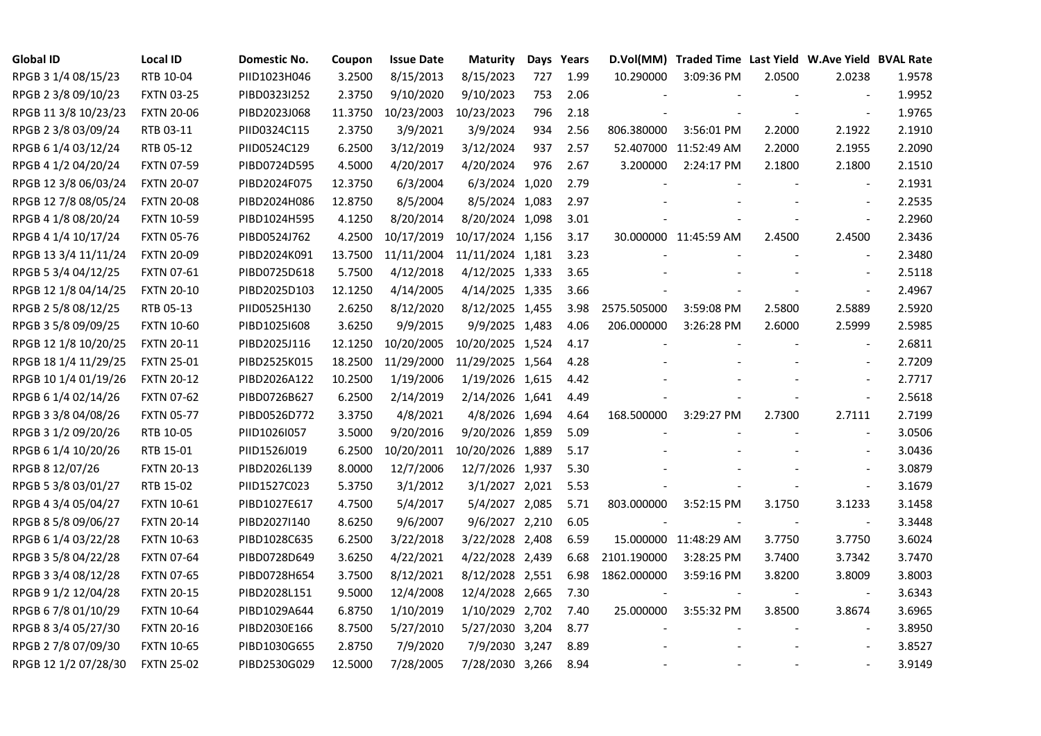| <b>Global ID</b>     | <b>Local ID</b>   | Domestic No. | Coupon  | <b>Issue Date</b> | <b>Maturity</b>  |     | Days Years |             | D.Vol(MM) Traded Time Last Yield W.Ave Yield BVAL Rate |        |                          |        |
|----------------------|-------------------|--------------|---------|-------------------|------------------|-----|------------|-------------|--------------------------------------------------------|--------|--------------------------|--------|
| RPGB 3 1/4 08/15/23  | RTB 10-04         | PIID1023H046 | 3.2500  | 8/15/2013         | 8/15/2023        | 727 | 1.99       | 10.290000   | 3:09:36 PM                                             | 2.0500 | 2.0238                   | 1.9578 |
| RPGB 2 3/8 09/10/23  | <b>FXTN 03-25</b> | PIBD0323I252 | 2.3750  | 9/10/2020         | 9/10/2023        | 753 | 2.06       |             |                                                        |        |                          | 1.9952 |
| RPGB 11 3/8 10/23/23 | <b>FXTN 20-06</b> | PIBD2023J068 | 11.3750 | 10/23/2003        | 10/23/2023       | 796 | 2.18       |             |                                                        |        | $\blacksquare$           | 1.9765 |
| RPGB 2 3/8 03/09/24  | RTB 03-11         | PIID0324C115 | 2.3750  | 3/9/2021          | 3/9/2024         | 934 | 2.56       | 806.380000  | 3:56:01 PM                                             | 2.2000 | 2.1922                   | 2.1910 |
| RPGB 6 1/4 03/12/24  | RTB 05-12         | PIID0524C129 | 6.2500  | 3/12/2019         | 3/12/2024        | 937 | 2.57       | 52.407000   | 11:52:49 AM                                            | 2.2000 | 2.1955                   | 2.2090 |
| RPGB 4 1/2 04/20/24  | <b>FXTN 07-59</b> | PIBD0724D595 | 4.5000  | 4/20/2017         | 4/20/2024        | 976 | 2.67       | 3.200000    | 2:24:17 PM                                             | 2.1800 | 2.1800                   | 2.1510 |
| RPGB 12 3/8 06/03/24 | <b>FXTN 20-07</b> | PIBD2024F075 | 12.3750 | 6/3/2004          | 6/3/2024 1,020   |     | 2.79       |             |                                                        |        | $\blacksquare$           | 2.1931 |
| RPGB 12 7/8 08/05/24 | <b>FXTN 20-08</b> | PIBD2024H086 | 12.8750 | 8/5/2004          | 8/5/2024 1,083   |     | 2.97       |             |                                                        |        | $\sim$                   | 2.2535 |
| RPGB 4 1/8 08/20/24  | <b>FXTN 10-59</b> | PIBD1024H595 | 4.1250  | 8/20/2014         | 8/20/2024 1,098  |     | 3.01       |             |                                                        |        | $\overline{\phantom{a}}$ | 2.2960 |
| RPGB 4 1/4 10/17/24  | <b>FXTN 05-76</b> | PIBD0524J762 | 4.2500  | 10/17/2019        | 10/17/2024 1,156 |     | 3.17       |             | 30.000000 11:45:59 AM                                  | 2.4500 | 2.4500                   | 2.3436 |
| RPGB 13 3/4 11/11/24 | <b>FXTN 20-09</b> | PIBD2024K091 | 13.7500 | 11/11/2004        | 11/11/2024 1,181 |     | 3.23       |             |                                                        |        | $\bar{\phantom{a}}$      | 2.3480 |
| RPGB 5 3/4 04/12/25  | <b>FXTN 07-61</b> | PIBD0725D618 | 5.7500  | 4/12/2018         | 4/12/2025 1,333  |     | 3.65       |             |                                                        |        | $\sim$                   | 2.5118 |
| RPGB 12 1/8 04/14/25 | <b>FXTN 20-10</b> | PIBD2025D103 | 12.1250 | 4/14/2005         | 4/14/2025 1,335  |     | 3.66       |             |                                                        |        | $\blacksquare$           | 2.4967 |
| RPGB 2 5/8 08/12/25  | RTB 05-13         | PIID0525H130 | 2.6250  | 8/12/2020         | 8/12/2025 1,455  |     | 3.98       | 2575.505000 | 3:59:08 PM                                             | 2.5800 | 2.5889                   | 2.5920 |
| RPGB 3 5/8 09/09/25  | <b>FXTN 10-60</b> | PIBD10251608 | 3.6250  | 9/9/2015          | 9/9/2025 1,483   |     | 4.06       | 206.000000  | 3:26:28 PM                                             | 2.6000 | 2.5999                   | 2.5985 |
| RPGB 12 1/8 10/20/25 | <b>FXTN 20-11</b> | PIBD2025J116 | 12.1250 | 10/20/2005        | 10/20/2025 1,524 |     | 4.17       |             |                                                        |        |                          | 2.6811 |
| RPGB 18 1/4 11/29/25 | <b>FXTN 25-01</b> | PIBD2525K015 | 18.2500 | 11/29/2000        | 11/29/2025 1,564 |     | 4.28       |             |                                                        |        | $\sim$                   | 2.7209 |
| RPGB 10 1/4 01/19/26 | <b>FXTN 20-12</b> | PIBD2026A122 | 10.2500 | 1/19/2006         | 1/19/2026 1,615  |     | 4.42       |             |                                                        |        | $\sim$                   | 2.7717 |
| RPGB 6 1/4 02/14/26  | <b>FXTN 07-62</b> | PIBD0726B627 | 6.2500  | 2/14/2019         | 2/14/2026 1,641  |     | 4.49       |             |                                                        |        | $\blacksquare$           | 2.5618 |
| RPGB 3 3/8 04/08/26  | <b>FXTN 05-77</b> | PIBD0526D772 | 3.3750  | 4/8/2021          | 4/8/2026 1,694   |     | 4.64       | 168.500000  | 3:29:27 PM                                             | 2.7300 | 2.7111                   | 2.7199 |
| RPGB 3 1/2 09/20/26  | RTB 10-05         | PIID1026I057 | 3.5000  | 9/20/2016         | 9/20/2026 1,859  |     | 5.09       |             |                                                        |        | $\blacksquare$           | 3.0506 |
| RPGB 6 1/4 10/20/26  | RTB 15-01         | PIID1526J019 | 6.2500  | 10/20/2011        | 10/20/2026 1,889 |     | 5.17       |             |                                                        |        | $\sim$                   | 3.0436 |
| RPGB 8 12/07/26      | <b>FXTN 20-13</b> | PIBD2026L139 | 8.0000  | 12/7/2006         | 12/7/2026 1,937  |     | 5.30       |             |                                                        |        |                          | 3.0879 |
| RPGB 5 3/8 03/01/27  | RTB 15-02         | PIID1527C023 | 5.3750  | 3/1/2012          | 3/1/2027 2,021   |     | 5.53       |             |                                                        |        | $\blacksquare$           | 3.1679 |
| RPGB 4 3/4 05/04/27  | <b>FXTN 10-61</b> | PIBD1027E617 | 4.7500  | 5/4/2017          | 5/4/2027 2,085   |     | 5.71       | 803.000000  | 3:52:15 PM                                             | 3.1750 | 3.1233                   | 3.1458 |
| RPGB 8 5/8 09/06/27  | <b>FXTN 20-14</b> | PIBD2027I140 | 8.6250  | 9/6/2007          | 9/6/2027 2,210   |     | 6.05       |             |                                                        |        | $\blacksquare$           | 3.3448 |
| RPGB 6 1/4 03/22/28  | <b>FXTN 10-63</b> | PIBD1028C635 | 6.2500  | 3/22/2018         | 3/22/2028 2,408  |     | 6.59       |             | 15.000000 11:48:29 AM                                  | 3.7750 | 3.7750                   | 3.6024 |
| RPGB 3 5/8 04/22/28  | <b>FXTN 07-64</b> | PIBD0728D649 | 3.6250  | 4/22/2021         | 4/22/2028 2,439  |     | 6.68       | 2101.190000 | 3:28:25 PM                                             | 3.7400 | 3.7342                   | 3.7470 |
| RPGB 3 3/4 08/12/28  | <b>FXTN 07-65</b> | PIBD0728H654 | 3.7500  | 8/12/2021         | 8/12/2028 2,551  |     | 6.98       | 1862.000000 | 3:59:16 PM                                             | 3.8200 | 3.8009                   | 3.8003 |
| RPGB 9 1/2 12/04/28  | <b>FXTN 20-15</b> | PIBD2028L151 | 9.5000  | 12/4/2008         | 12/4/2028 2,665  |     | 7.30       |             |                                                        |        |                          | 3.6343 |
| RPGB 67/8 01/10/29   | <b>FXTN 10-64</b> | PIBD1029A644 | 6.8750  | 1/10/2019         | 1/10/2029 2,702  |     | 7.40       | 25.000000   | 3:55:32 PM                                             | 3.8500 | 3.8674                   | 3.6965 |
| RPGB 8 3/4 05/27/30  | <b>FXTN 20-16</b> | PIBD2030E166 | 8.7500  | 5/27/2010         | 5/27/2030 3,204  |     | 8.77       |             |                                                        |        | $\blacksquare$           | 3.8950 |
| RPGB 2 7/8 07/09/30  | <b>FXTN 10-65</b> | PIBD1030G655 | 2.8750  | 7/9/2020          | 7/9/2030 3,247   |     | 8.89       |             |                                                        |        | $\sim$                   | 3.8527 |
| RPGB 12 1/2 07/28/30 | <b>FXTN 25-02</b> | PIBD2530G029 | 12.5000 | 7/28/2005         | 7/28/2030 3,266  |     | 8.94       |             |                                                        |        | $\sim$                   | 3.9149 |